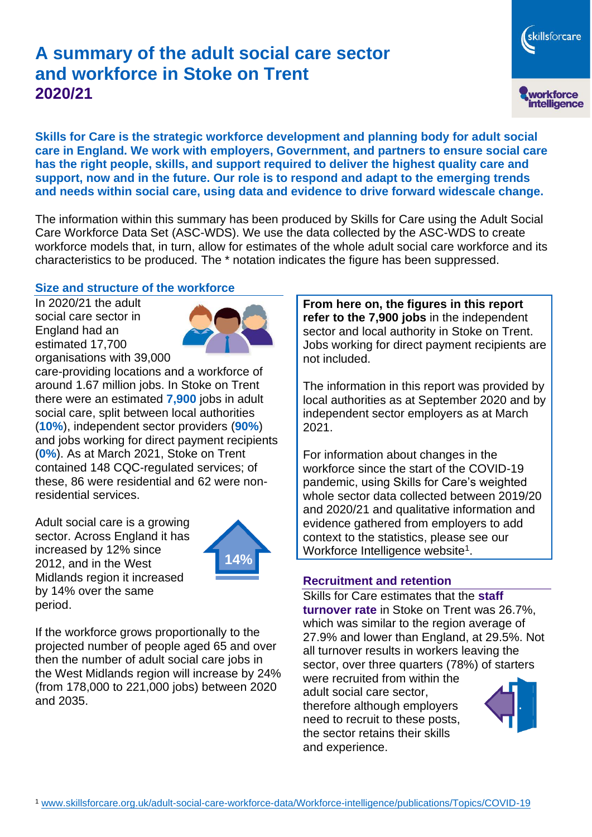# **A summary of the adult social care sector and workforce in Stoke on Trent 2020/21**

skillsforcare workforce<br>intelligence

**Skills for Care is the strategic workforce development and planning body for adult social care in England. We work with employers, Government, and partners to ensure social care has the right people, skills, and support required to deliver the highest quality care and support, now and in the future. Our role is to respond and adapt to the emerging trends and needs within social care, using data and evidence to drive forward widescale change.**

The information within this summary has been produced by Skills for Care using the Adult Social Care Workforce Data Set (ASC-WDS). We use the data collected by the ASC-WDS to create workforce models that, in turn, allow for estimates of the whole adult social care workforce and its characteristics to be produced. The \* notation indicates the figure has been suppressed.

### **Size and structure of the workforce**

In 2020/21 the adult social care sector in England had an estimated 17,700 organisations with 39,000



care-providing locations and a workforce of around 1.67 million jobs. In Stoke on Trent there were an estimated **7,900** jobs in adult social care, split between local authorities (**10%**), independent sector providers (**90%**) and jobs working for direct payment recipients (**0%**). As at March 2021, Stoke on Trent contained 148 CQC-regulated services; of these, 86 were residential and 62 were nonresidential services.

Adult social care is a growing sector. Across England it has increased by 12% since 2012, and in the West Midlands region it increased by 14% over the same period.



If the workforce grows proportionally to the projected number of people aged 65 and over then the number of adult social care jobs in the West Midlands region will increase by 24% (from 178,000 to 221,000 jobs) between 2020 and 2035.

**From here on, the figures in this report refer to the 7,900 jobs** in the independent sector and local authority in Stoke on Trent. Jobs working for direct payment recipients are not included.

The information in this report was provided by local authorities as at September 2020 and by independent sector employers as at March 2021.

For information about changes in the workforce since the start of the COVID-19 pandemic, using Skills for Care's weighted whole sector data collected between 2019/20 and 2020/21 and qualitative information and evidence gathered from employers to add context to the statistics, please see our Workforce Intelligence website<sup>1</sup>.

#### **Recruitment and retention**

Skills for Care estimates that the **staff turnover rate** in Stoke on Trent was 26.7%, which was similar to the region average of 27.9% and lower than England, at 29.5%. Not all turnover results in workers leaving the sector, over three quarters (78%) of starters

were recruited from within the adult social care sector, therefore although employers need to recruit to these posts, the sector retains their skills and experience.

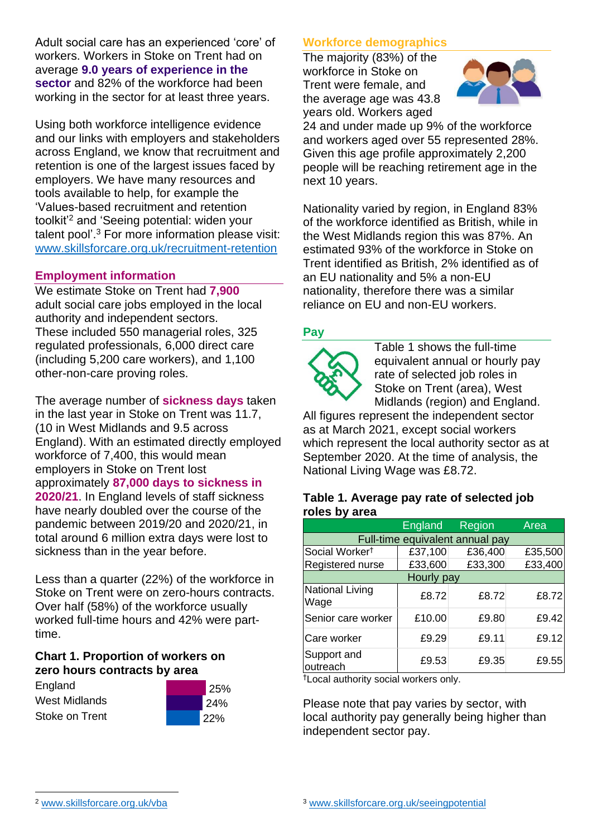Adult social care has an experienced 'core' of workers. Workers in Stoke on Trent had on average **9.0 years of experience in the sector** and 82% of the workforce had been working in the sector for at least three years.

Using both workforce intelligence evidence and our links with employers and stakeholders across England, we know that recruitment and retention is one of the largest issues faced by employers. We have many resources and tools available to help, for example the 'Values-based recruitment and retention toolkit'<sup>2</sup> and 'Seeing potential: widen your talent pool'. <sup>3</sup> For more information please visit: [www.skillsforcare.org.uk/recruitment-retention](http://www.skillsforcare.org.uk/recruitment-retention)

## **Employment information**

We estimate Stoke on Trent had **7,900** adult social care jobs employed in the local authority and independent sectors. These included 550 managerial roles, 325 regulated professionals, 6,000 direct care (including 5,200 care workers), and 1,100 other-non-care proving roles.

The average number of **sickness days** taken in the last year in Stoke on Trent was 11.7, (10 in West Midlands and 9.5 across England). With an estimated directly employed workforce of 7,400, this would mean employers in Stoke on Trent lost approximately **87,000 days to sickness in 2020/21**. In England levels of staff sickness have nearly doubled over the course of the pandemic between 2019/20 and 2020/21, in total around 6 million extra days were lost to sickness than in the year before.

Less than a quarter (22%) of the workforce in Stoke on Trent were on zero-hours contracts. Over half (58%) of the workforce usually worked full-time hours and 42% were parttime.

### **Chart 1. Proportion of workers on zero hours contracts by area**

| England        |  |  |  |  |
|----------------|--|--|--|--|
| West Midlands  |  |  |  |  |
| Stoke on Trent |  |  |  |  |



# **Workforce demographics**

The majority (83%) of the workforce in Stoke on Trent were female, and the average age was 43.8 years old. Workers aged



24 and under made up 9% of the workforce and workers aged over 55 represented 28%. Given this age profile approximately 2,200 people will be reaching retirement age in the next 10 years.

Nationality varied by region, in England 83% of the workforce identified as British, while in the West Midlands region this was 87%. An estimated 93% of the workforce in Stoke on Trent identified as British, 2% identified as of an EU nationality and 5% a non-EU nationality, therefore there was a similar reliance on EU and non-EU workers.

### **Pay**



Table 1 shows the full-time equivalent annual or hourly pay rate of selected job roles in Stoke on Trent (area), West Midlands (region) and England.

All figures represent the independent sector as at March 2021, except social workers which represent the local authority sector as at September 2020. At the time of analysis, the National Living Wage was £8.72.

#### **Table 1. Average pay rate of selected job roles by area**

|                                 | <b>England</b> | Region  | Area    |  |
|---------------------------------|----------------|---------|---------|--|
| Full-time equivalent annual pay |                |         |         |  |
| Social Worker <sup>t</sup>      | £37,100        | £36,400 | £35,500 |  |
| Registered nurse                | £33,600        | £33,300 | £33,400 |  |
| Hourly pay                      |                |         |         |  |
| National Living<br>Wage         | £8.72          | £8.72   | £8.72   |  |
| Senior care worker              | £10.00         | £9.80   | £9.42   |  |
| Care worker                     | £9.29          | £9.11   | £9.12   |  |
| Support and<br>outreach         | £9.53          | £9.35   | £9.55   |  |

†Local authority social workers only.

Please note that pay varies by sector, with local authority pay generally being higher than independent sector pay.

[www.skillsforcare.org.uk/vba](http://www.skillsforcare.org.uk/vba)